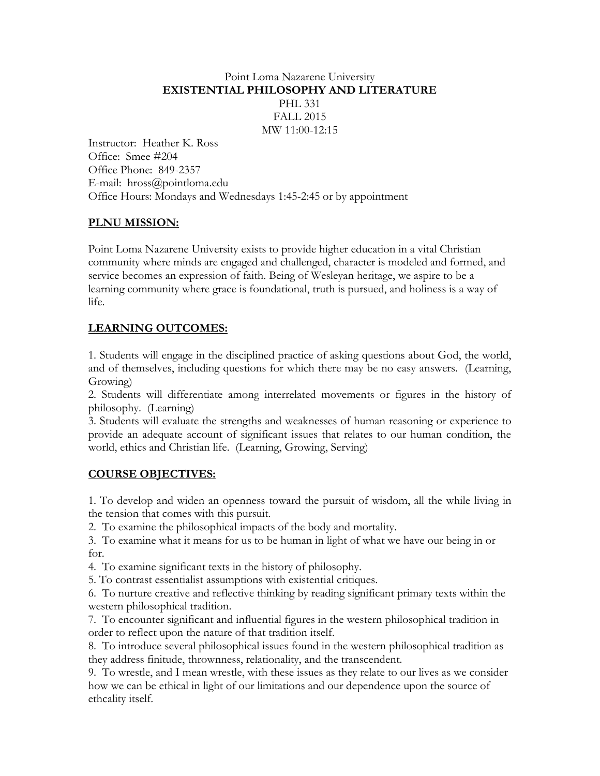## Point Loma Nazarene University **EXISTENTIAL PHILOSOPHY AND LITERATURE** PHL 331 FALL 2015 MW 11:00-12:15

Instructor: Heather K. Ross Office: Smee #204 Office Phone: 849-2357 E-mail: hross@pointloma.edu Office Hours: Mondays and Wednesdays 1:45-2:45 or by appointment

# **PLNU MISSION:**

Point Loma Nazarene University exists to provide higher education in a vital Christian community where minds are engaged and challenged, character is modeled and formed, and service becomes an expression of faith. Being of Wesleyan heritage, we aspire to be a learning community where grace is foundational, truth is pursued, and holiness is a way of life.

# **LEARNING OUTCOMES:**

1. Students will engage in the disciplined practice of asking questions about God, the world, and of themselves, including questions for which there may be no easy answers. (Learning, Growing)

2. Students will differentiate among interrelated movements or figures in the history of philosophy. (Learning)

3. Students will evaluate the strengths and weaknesses of human reasoning or experience to provide an adequate account of significant issues that relates to our human condition, the world, ethics and Christian life. (Learning, Growing, Serving)

# **COURSE OBJECTIVES:**

1. To develop and widen an openness toward the pursuit of wisdom, all the while living in the tension that comes with this pursuit.

2. To examine the philosophical impacts of the body and mortality.

3. To examine what it means for us to be human in light of what we have our being in or for.

4. To examine significant texts in the history of philosophy.

5. To contrast essentialist assumptions with existential critiques.

6. To nurture creative and reflective thinking by reading significant primary texts within the western philosophical tradition.

7. To encounter significant and influential figures in the western philosophical tradition in order to reflect upon the nature of that tradition itself.

8. To introduce several philosophical issues found in the western philosophical tradition as they address finitude, thrownness, relationality, and the transcendent.

9. To wrestle, and I mean wrestle, with these issues as they relate to our lives as we consider how we can be ethical in light of our limitations and our dependence upon the source of ethcality itself.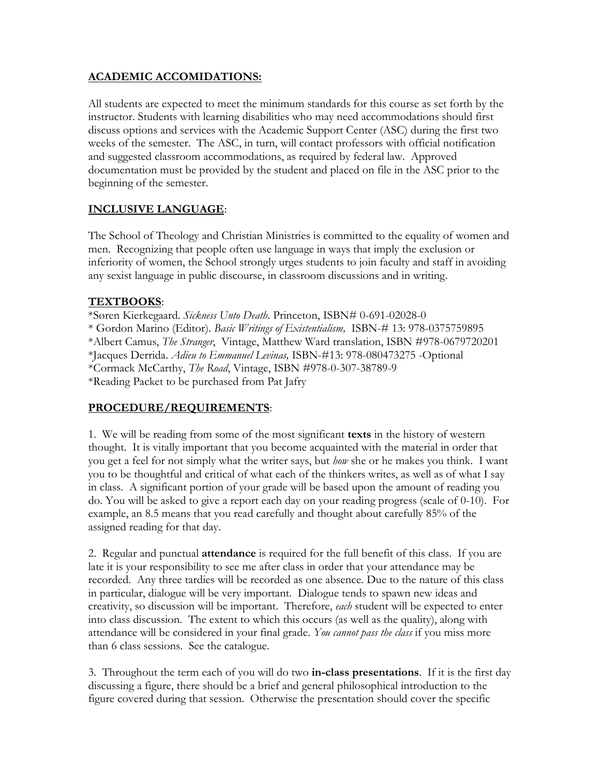## **ACADEMIC ACCOMIDATIONS:**

All students are expected to meet the minimum standards for this course as set forth by the instructor. Students with learning disabilities who may need accommodations should first discuss options and services with the Academic Support Center (ASC) during the first two weeks of the semester. The ASC, in turn, will contact professors with official notification and suggested classroom accommodations, as required by federal law. Approved documentation must be provided by the student and placed on file in the ASC prior to the beginning of the semester.

#### **INCLUSIVE LANGUAGE**:

The School of Theology and Christian Ministries is committed to the equality of women and men. Recognizing that people often use language in ways that imply the exclusion or inferiority of women, the School strongly urges students to join faculty and staff in avoiding any sexist language in public discourse, in classroom discussions and in writing.

#### **TEXTBOOKS**:

\*Søren Kierkegaard. *Sickness Unto Death*. Princeton, ISBN# 0-691-02028-0 \* Gordon Marino (Editor). *Basic Writings of Existentialism,* ISBN-# 13: 978-0375759895 \*Albert Camus, *The Stranger*, Vintage, Matthew Ward translation, ISBN #978-0679720201 \*Jacques Derrida. *Adieu to Emmanuel Levinas,* ISBN-#13: 978-080473275 -Optional \*Cormack McCarthy, *The Road*, Vintage, ISBN #978-0-307-38789-9 \*Reading Packet to be purchased from Pat Jafry

# **PROCEDURE/REQUIREMENTS**:

1. We will be reading from some of the most significant **texts** in the history of western thought. It is vitally important that you become acquainted with the material in order that you get a feel for not simply what the writer says, but *how* she or he makes you think. I want you to be thoughtful and critical of what each of the thinkers writes, as well as of what I say in class. A significant portion of your grade will be based upon the amount of reading you do. You will be asked to give a report each day on your reading progress (scale of 0-10). For example, an 8.5 means that you read carefully and thought about carefully 85% of the assigned reading for that day.

2. Regular and punctual **attendance** is required for the full benefit of this class. If you are late it is your responsibility to see me after class in order that your attendance may be recorded. Any three tardies will be recorded as one absence. Due to the nature of this class in particular, dialogue will be very important. Dialogue tends to spawn new ideas and creativity, so discussion will be important. Therefore, *each* student will be expected to enter into class discussion. The extent to which this occurs (as well as the quality), along with attendance will be considered in your final grade. *You cannot pass the class* if you miss more than 6 class sessions. See the catalogue.

3. Throughout the term each of you will do two **in-class presentations**. If it is the first day discussing a figure, there should be a brief and general philosophical introduction to the figure covered during that session. Otherwise the presentation should cover the specific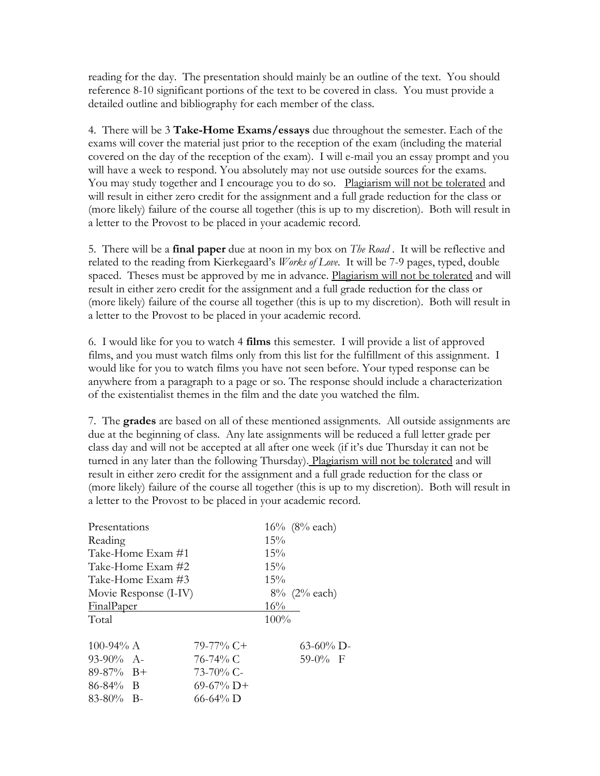reading for the day. The presentation should mainly be an outline of the text. You should reference 8-10 significant portions of the text to be covered in class. You must provide a detailed outline and bibliography for each member of the class.

4. There will be 3 **Take-Home Exams/essays** due throughout the semester. Each of the exams will cover the material just prior to the reception of the exam (including the material covered on the day of the reception of the exam). I will e-mail you an essay prompt and you will have a week to respond. You absolutely may not use outside sources for the exams. You may study together and I encourage you to do so. Plagiarism will not be tolerated and will result in either zero credit for the assignment and a full grade reduction for the class or (more likely) failure of the course all together (this is up to my discretion). Both will result in a letter to the Provost to be placed in your academic record.

5. There will be a **final paper** due at noon in my box on *The Road* . It will be reflective and related to the reading from Kierkegaard's *Works of Love*. It will be 7-9 pages, typed, double spaced. Theses must be approved by me in advance. Plagiarism will not be tolerated and will result in either zero credit for the assignment and a full grade reduction for the class or (more likely) failure of the course all together (this is up to my discretion). Both will result in a letter to the Provost to be placed in your academic record.

6. I would like for you to watch 4 **films** this semester. I will provide a list of approved films, and you must watch films only from this list for the fulfillment of this assignment. I would like for you to watch films you have not seen before. Your typed response can be anywhere from a paragraph to a page or so. The response should include a characterization of the existentialist themes in the film and the date you watched the film.

7. The **grades** are based on all of these mentioned assignments. All outside assignments are due at the beginning of class. Any late assignments will be reduced a full letter grade per class day and will not be accepted at all after one week (if it's due Thursday it can not be turned in any later than the following Thursday). Plagiarism will not be tolerated and will result in either zero credit for the assignment and a full grade reduction for the class or (more likely) failure of the course all together (this is up to my discretion). Both will result in a letter to the Provost to be placed in your academic record.

|                       | $16\%$ (8% each) |
|-----------------------|------------------|
|                       | 15%              |
| Take-Home Exam #1     | $15\%$           |
| Take-Home Exam #2     | $15\%$           |
| Take-Home Exam #3     | $15\%$           |
| Movie Response (I-IV) | $8\%$ (2% each)  |
|                       | 16%              |
|                       | 100%             |
| $79-77\%$ C+          | $63-60\%$ D-     |
| 76-74% C              | $59-0\%$ F       |
| $73 - 70\%$ C-        |                  |
| $69-67\%$ D+          |                  |
| 66-64% D              |                  |
|                       |                  |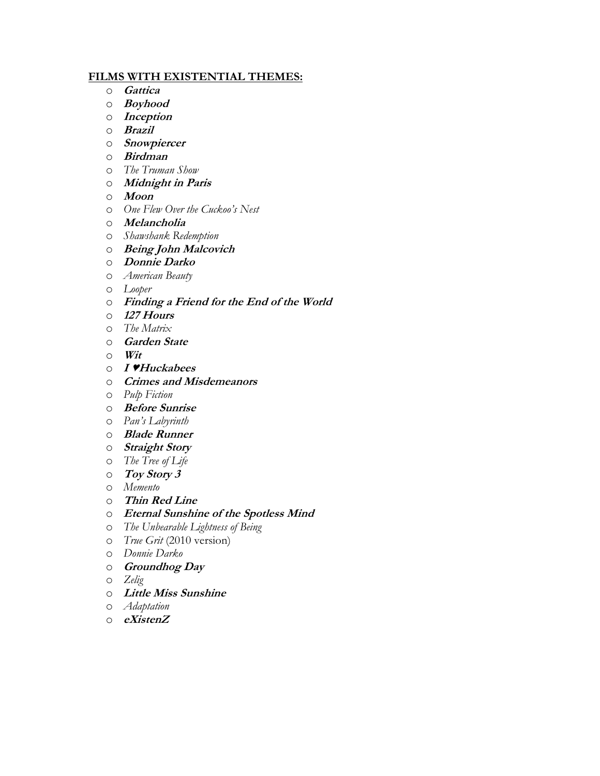#### **FILMS WITH EXISTENTIAL THEMES:**

- o **Gattica**
- o **Boyhood**
- o **Inception**
- o **Brazil**
- o **Snowpiercer**
- o **Birdman**
- o *The Truman Show*
- o **Midnight in Paris**
- o **Moon**
- o *One Flew Over the Cuckoo's Nest*
- o **Melancholia**
- o *Shawshank Redemption*
- o **Being John Malcovich**
- o **Donnie Darko**
- o *American Beauty*
- o *Looper*
- o **Finding a Friend for the End of the World**
- o **127 Hours**
- o *The Matrix*
- o **Garden State**
- o **Wit**
- o **I ♥Huckabees**
- o **Crimes and Misdemeanors**
- o *Pulp Fiction*
- o **Before Sunrise**
- o *Pan's Labyrinth*
- o **Blade Runner**
- o **Straight Story**
- o *The Tree of Life*
- o **Toy Story 3**
- o *Memento*
- o **Thin Red Line**
- o **Eternal Sunshine of the Spotless Mind**
- o *The Unbearable Lightness of Being*
- o *True Grit* (2010 version)
- o *Donnie Darko*
- o **Groundhog Day**
- o *Zelig*
- o **Little Miss Sunshine**
- o *Adaptation*
- o **eXistenZ**